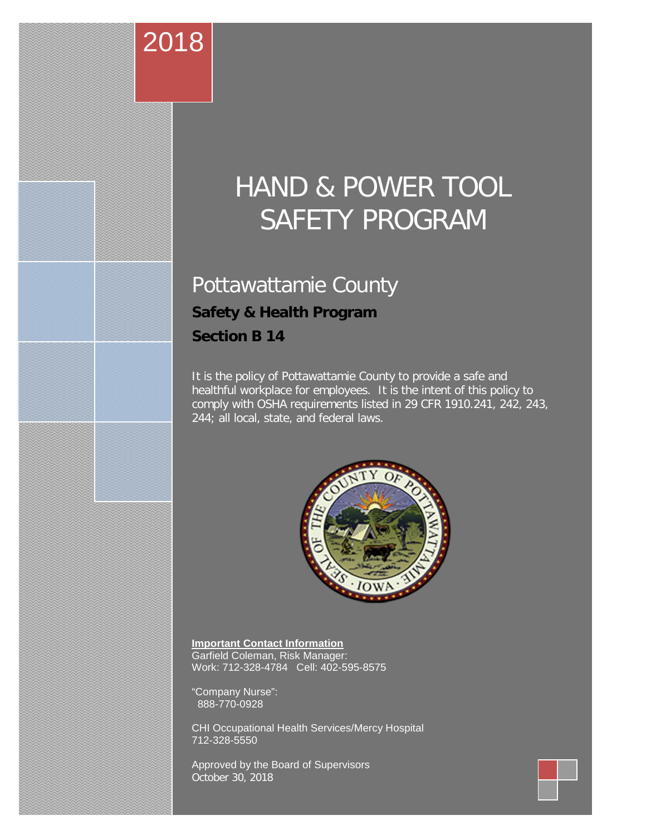# HAND & POWER TOOL SAFETY PROGRAM

# Pottawattamie County

# **Safety & Health Program Section B 14**

2018

It is the policy of Pottawattamie County to provide a safe and healthful workplace for employees. It is the intent of this policy to comply with OSHA requirements listed in 29 CFR 1910.241, 242, 243, 244; all local, state, and federal laws.



**1 | Page**

**Important Contact Information** Garfield Coleman, Risk Manager: Work: 712-328-4784 Cell: 402-595-8575

"Company Nurse": 888-770-0928

CHI Occupational Health Services/Mercy Hospital 712-328-5550

Approved by the Board of Supervisors October 30, 2018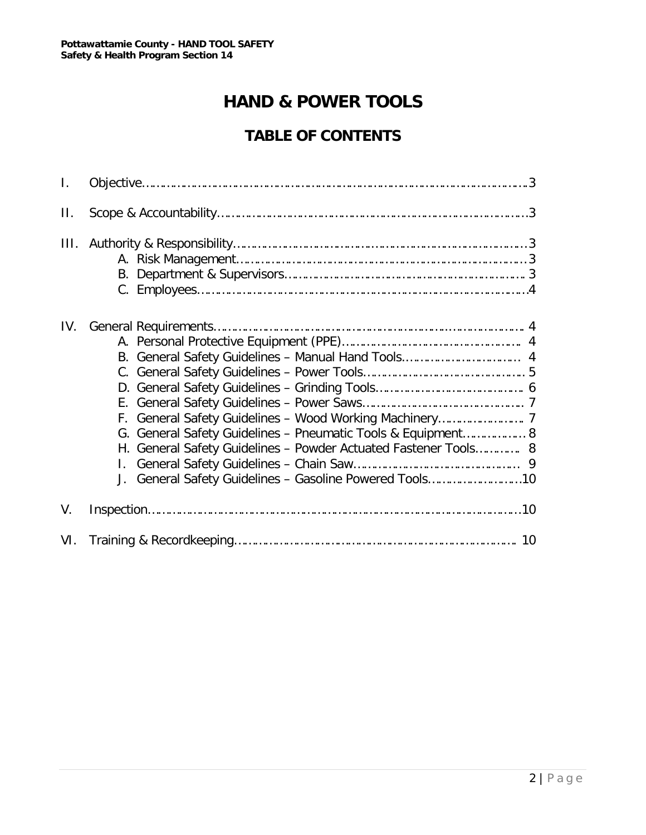# **HAND & POWER TOOLS**

# **TABLE OF CONTENTS**

| $\mathsf{L}$ |                                                                                                                                                                                            |
|--------------|--------------------------------------------------------------------------------------------------------------------------------------------------------------------------------------------|
| П.           |                                                                                                                                                                                            |
| III.         |                                                                                                                                                                                            |
| IV.          | G. General Safety Guidelines - Pneumatic Tools & Equipment 8<br>H. General Safety Guidelines - Powder Actuated Fastener Tools 8<br>J. General Safety Guidelines - Gasoline Powered Tools10 |
| V.           |                                                                                                                                                                                            |
| VI.          |                                                                                                                                                                                            |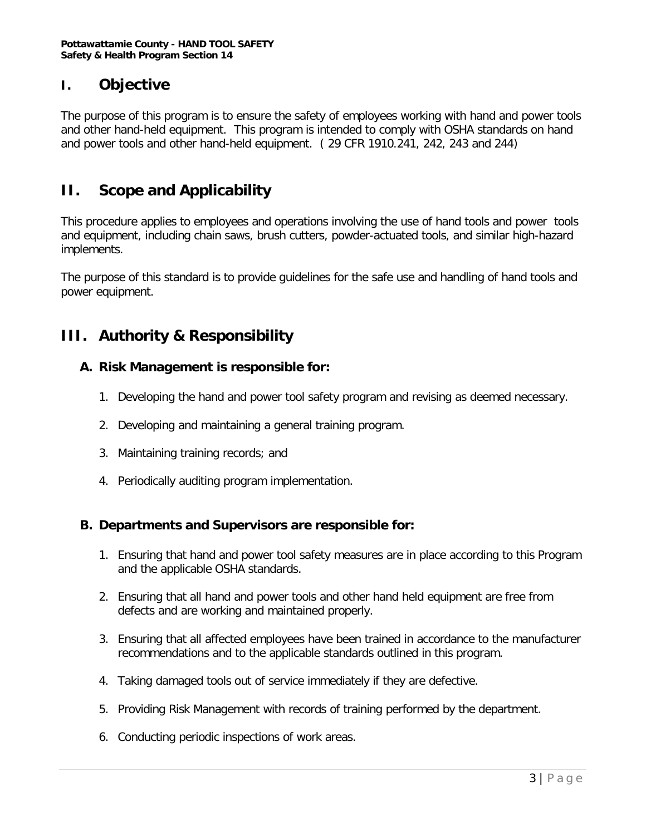## **I. Objective**

The purpose of this program is to ensure the safety of employees working with hand and power tools and other hand-held equipment. This program is intended to comply with OSHA standards on hand and power tools and other hand-held equipment. ( 29 CFR 1910.241, 242, 243 and 244)

## **II. Scope and Applicability**

This procedure applies to employees and operations involving the use of hand tools and power tools and equipment, including chain saws, brush cutters, powder-actuated tools, and similar high-hazard implements.

The purpose of this standard is to provide guidelines for the safe use and handling of hand tools and power equipment.

# **III. Authority & Responsibility**

#### **A. Risk Management is responsible for:**

- 1. Developing the hand and power tool safety program and revising as deemed necessary.
- 2. Developing and maintaining a general training program.
- 3. Maintaining training records; and
- 4. Periodically auditing program implementation.

#### **B. Departments and Supervisors are responsible for:**

- 1. Ensuring that hand and power tool safety measures are in place according to this Program and the applicable OSHA standards.
- 2. Ensuring that all hand and power tools and other hand held equipment are free from defects and are working and maintained properly.
- 3. Ensuring that all affected employees have been trained in accordance to the manufacturer recommendations and to the applicable standards outlined in this program.
- 4. Taking damaged tools out of service immediately if they are defective.
- 5. Providing Risk Management with records of training performed by the department.
- 6. Conducting periodic inspections of work areas.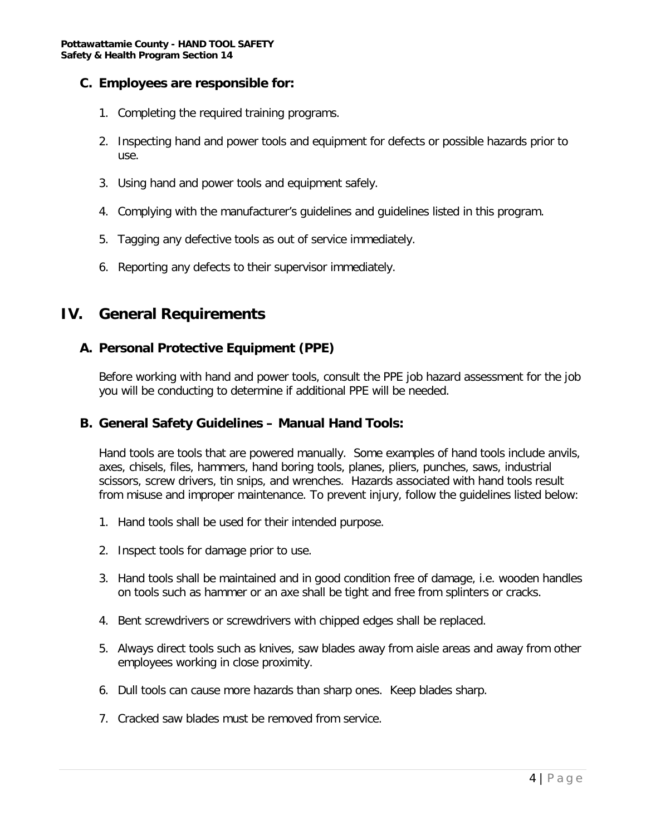#### **C. Employees are responsible for:**

- 1. Completing the required training programs.
- 2. Inspecting hand and power tools and equipment for defects or possible hazards prior to use.
- 3. Using hand and power tools and equipment safely.
- 4. Complying with the manufacturer's guidelines and guidelines listed in this program.
- 5. Tagging any defective tools as out of service immediately.
- 6. Reporting any defects to their supervisor immediately.

## **IV. General Requirements**

#### **A. Personal Protective Equipment (PPE)**

Before working with hand and power tools, consult the PPE job hazard assessment for the job you will be conducting to determine if additional PPE will be needed.

#### **B. General Safety Guidelines – Manual Hand Tools:**

Hand tools are tools that are powered manually. Some examples of hand tools include anvils, axes, chisels, files, hammers, hand boring tools, planes, pliers, punches, saws, industrial scissors, screw drivers, tin snips, and wrenches. Hazards associated with hand tools result from misuse and improper maintenance. To prevent injury, follow the guidelines listed below:

- 1. Hand tools shall be used for their intended purpose.
- 2. Inspect tools for damage prior to use.
- 3. Hand tools shall be maintained and in good condition free of damage, i.e. wooden handles on tools such as hammer or an axe shall be tight and free from splinters or cracks.
- 4. Bent screwdrivers or screwdrivers with chipped edges shall be replaced.
- 5. Always direct tools such as knives, saw blades away from aisle areas and away from other employees working in close proximity.
- 6. Dull tools can cause more hazards than sharp ones. Keep blades sharp.
- 7. Cracked saw blades must be removed from service.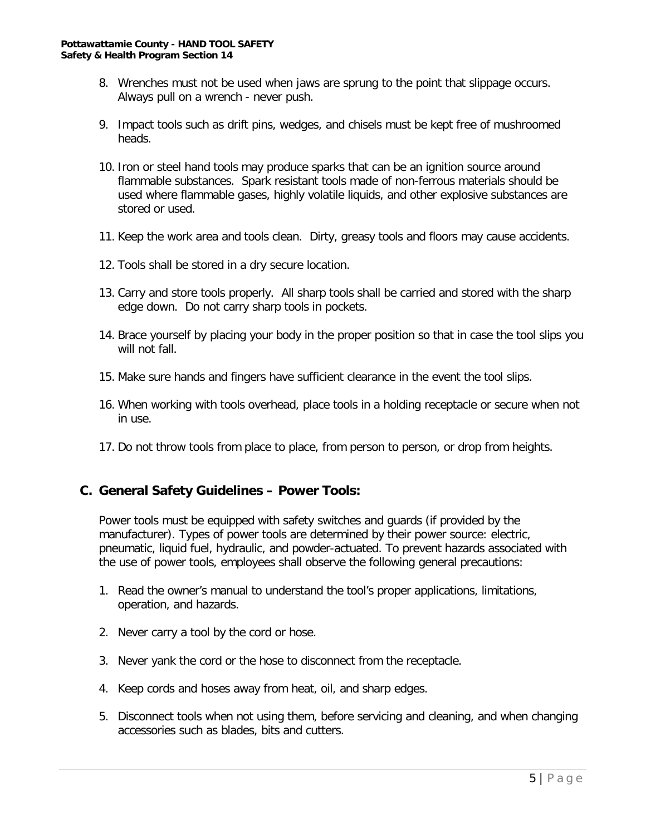- 8. Wrenches must not be used when jaws are sprung to the point that slippage occurs. Always pull on a wrench - never push.
- 9. Impact tools such as drift pins, wedges, and chisels must be kept free of mushroomed heads.
- 10. Iron or steel hand tools may produce sparks that can be an ignition source around flammable substances. Spark resistant tools made of non-ferrous materials should be used where flammable gases, highly volatile liquids, and other explosive substances are stored or used.
- 11. Keep the work area and tools clean. Dirty, greasy tools and floors may cause accidents.
- 12. Tools shall be stored in a dry secure location.
- 13. Carry and store tools properly. All sharp tools shall be carried and stored with the sharp edge down. Do not carry sharp tools in pockets.
- 14. Brace yourself by placing your body in the proper position so that in case the tool slips you will not fall.
- 15. Make sure hands and fingers have sufficient clearance in the event the tool slips.
- 16. When working with tools overhead, place tools in a holding receptacle or secure when not in use.
- 17. Do not throw tools from place to place, from person to person, or drop from heights.

#### **C. General Safety Guidelines – Power Tools:**

Power tools must be equipped with safety switches and guards (if provided by the manufacturer). Types of power tools are determined by their power source: electric, pneumatic, liquid fuel, hydraulic, and powder-actuated. To prevent hazards associated with the use of power tools, employees shall observe the following general precautions:

- 1. Read the owner's manual to understand the tool's proper applications, limitations, operation, and hazards.
- 2. Never carry a tool by the cord or hose.
- 3. Never yank the cord or the hose to disconnect from the receptacle.
- 4. Keep cords and hoses away from heat, oil, and sharp edges.
- 5. Disconnect tools when not using them, before servicing and cleaning, and when changing accessories such as blades, bits and cutters.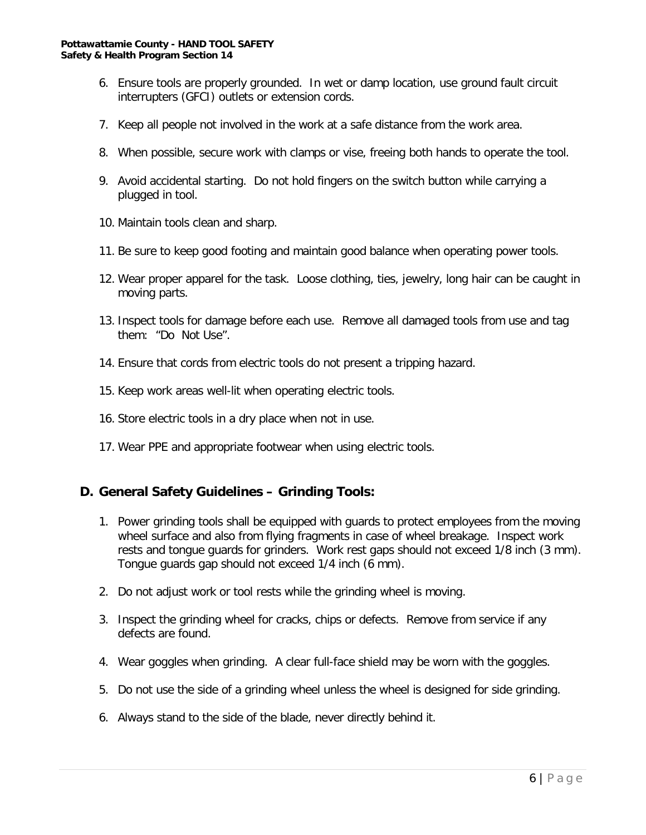- 6. Ensure tools are properly grounded. In wet or damp location, use ground fault circuit interrupters (GFCI) outlets or extension cords.
- 7. Keep all people not involved in the work at a safe distance from the work area.
- 8. When possible, secure work with clamps or vise, freeing both hands to operate the tool.
- 9. Avoid accidental starting. Do not hold fingers on the switch button while carrying a plugged in tool.
- 10. Maintain tools clean and sharp.
- 11. Be sure to keep good footing and maintain good balance when operating power tools.
- 12. Wear proper apparel for the task. Loose clothing, ties, jewelry, long hair can be caught in moving parts.
- 13. Inspect tools for damage before each use. Remove all damaged tools from use and tag them: "Do Not Use".
- 14. Ensure that cords from electric tools do not present a tripping hazard.
- 15. Keep work areas well-lit when operating electric tools.
- 16. Store electric tools in a dry place when not in use.
- 17. Wear PPE and appropriate footwear when using electric tools.

#### **D. General Safety Guidelines – Grinding Tools:**

- 1. Power grinding tools shall be equipped with guards to protect employees from the moving wheel surface and also from flying fragments in case of wheel breakage. Inspect work rests and tongue guards for grinders. Work rest gaps should not exceed 1/8 inch (3 mm). Tongue guards gap should not exceed 1/4 inch (6 mm).
- 2. Do not adjust work or tool rests while the grinding wheel is moving.
- 3. Inspect the grinding wheel for cracks, chips or defects. Remove from service if any defects are found.
- 4. Wear goggles when grinding. A clear full-face shield may be worn with the goggles.
- 5. Do not use the side of a grinding wheel unless the wheel is designed for side grinding.
- 6. Always stand to the side of the blade, never directly behind it.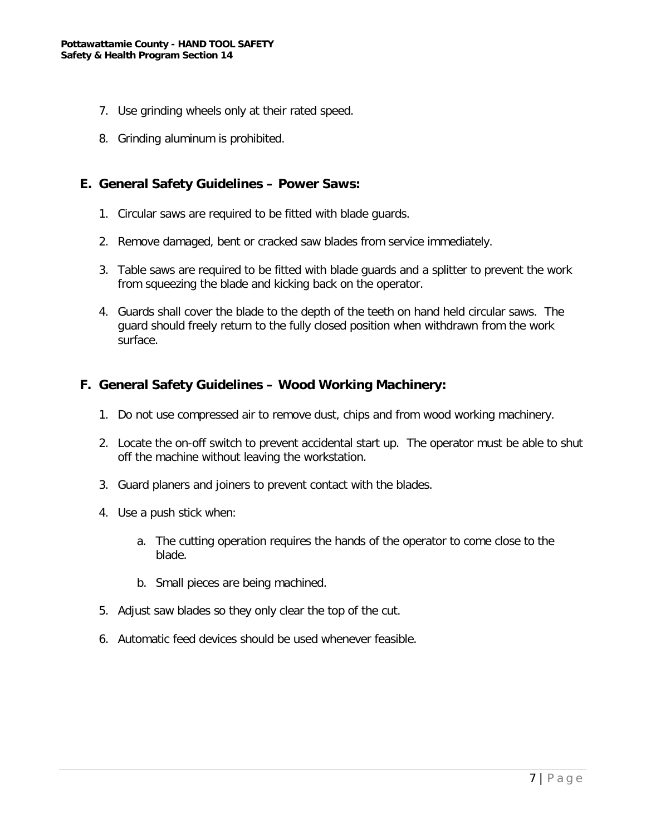- 7. Use grinding wheels only at their rated speed.
- 8. Grinding aluminum is prohibited.

#### **E. General Safety Guidelines – Power Saws:**

- 1. Circular saws are required to be fitted with blade guards.
- 2. Remove damaged, bent or cracked saw blades from service immediately.
- 3. Table saws are required to be fitted with blade guards and a splitter to prevent the work from squeezing the blade and kicking back on the operator.
- 4. Guards shall cover the blade to the depth of the teeth on hand held circular saws. The guard should freely return to the fully closed position when withdrawn from the work surface.

#### **F. General Safety Guidelines – Wood Working Machinery:**

- 1. Do not use compressed air to remove dust, chips and from wood working machinery.
- 2. Locate the on-off switch to prevent accidental start up. The operator must be able to shut off the machine without leaving the workstation.
- 3. Guard planers and joiners to prevent contact with the blades.
- 4. Use a push stick when:
	- a. The cutting operation requires the hands of the operator to come close to the blade.
	- b. Small pieces are being machined.
- 5. Adjust saw blades so they only clear the top of the cut.
- 6. Automatic feed devices should be used whenever feasible.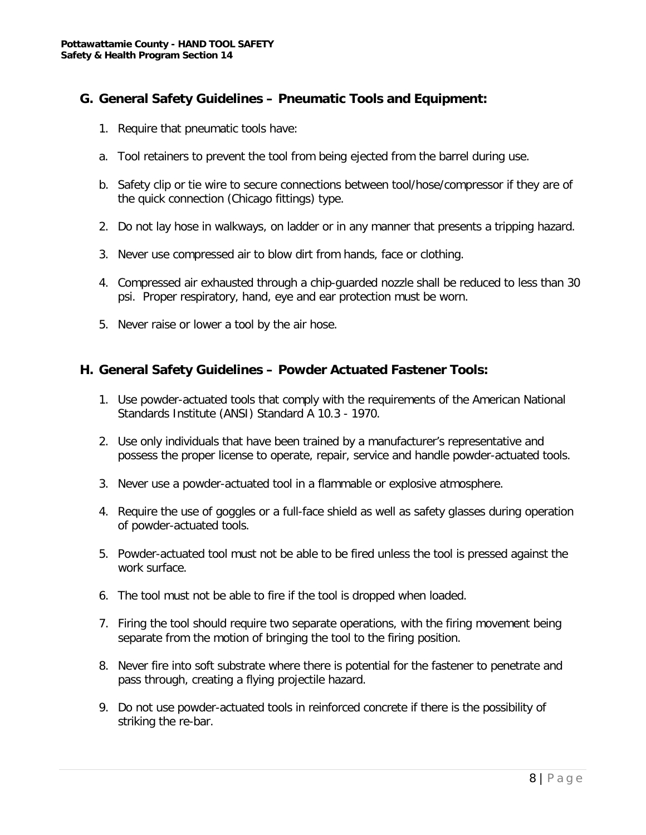#### **G. General Safety Guidelines – Pneumatic Tools and Equipment:**

- 1. Require that pneumatic tools have:
- a. Tool retainers to prevent the tool from being ejected from the barrel during use.
- b. Safety clip or tie wire to secure connections between tool/hose/compressor if they are of the quick connection (Chicago fittings) type.
- 2. Do not lay hose in walkways, on ladder or in any manner that presents a tripping hazard.
- 3. Never use compressed air to blow dirt from hands, face or clothing.
- 4. Compressed air exhausted through a chip-guarded nozzle shall be reduced to less than 30 psi. Proper respiratory, hand, eye and ear protection must be worn.
- 5. Never raise or lower a tool by the air hose.

#### **H. General Safety Guidelines – Powder Actuated Fastener Tools:**

- 1. Use powder-actuated tools that comply with the requirements of the American National Standards Institute (ANSI) Standard A 10.3 - 1970.
- 2. Use only individuals that have been trained by a manufacturer's representative and possess the proper license to operate, repair, service and handle powder-actuated tools.
- 3. Never use a powder-actuated tool in a flammable or explosive atmosphere.
- 4. Require the use of goggles or a full-face shield as well as safety glasses during operation of powder-actuated tools.
- 5. Powder-actuated tool must not be able to be fired unless the tool is pressed against the work surface.
- 6. The tool must not be able to fire if the tool is dropped when loaded.
- 7. Firing the tool should require two separate operations, with the firing movement being separate from the motion of bringing the tool to the firing position.
- 8. Never fire into soft substrate where there is potential for the fastener to penetrate and pass through, creating a flying projectile hazard.
- 9. Do not use powder-actuated tools in reinforced concrete if there is the possibility of striking the re-bar.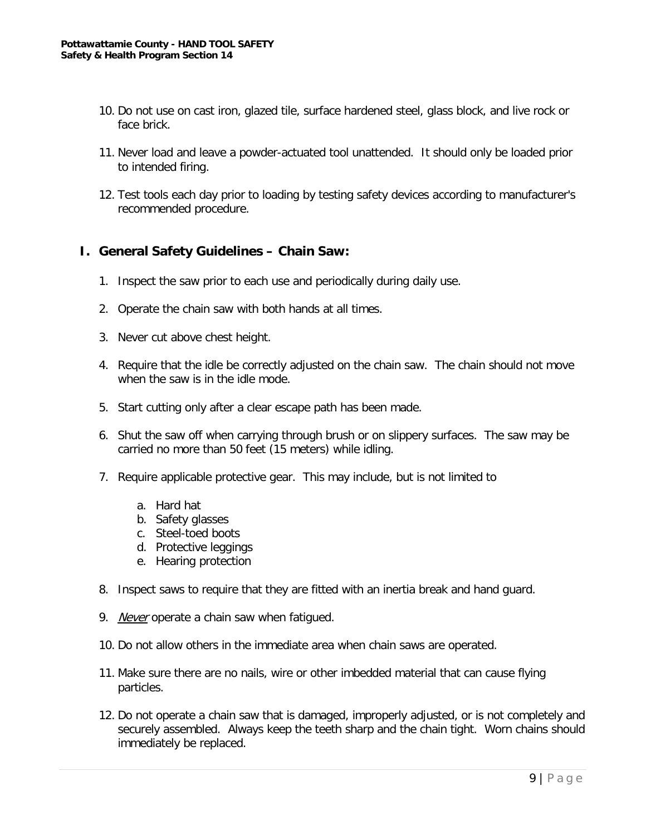- 10. Do not use on cast iron, glazed tile, surface hardened steel, glass block, and live rock or face brick.
- 11. Never load and leave a powder-actuated tool unattended. It should only be loaded prior to intended firing.
- 12. Test tools each day prior to loading by testing safety devices according to manufacturer's recommended procedure.

#### **I. General Safety Guidelines – Chain Saw:**

- 1. Inspect the saw prior to each use and periodically during daily use.
- 2. Operate the chain saw with both hands at all times.
- 3. Never cut above chest height.
- 4. Require that the idle be correctly adjusted on the chain saw. The chain should not move when the saw is in the idle mode.
- 5. Start cutting only after a clear escape path has been made.
- 6. Shut the saw off when carrying through brush or on slippery surfaces. The saw may be carried no more than 50 feet (15 meters) while idling.
- 7. Require applicable protective gear. This may include, but is not limited to
	- a. Hard hat
	- b. Safety glasses
	- c. Steel-toed boots
	- d. Protective leggings
	- e. Hearing protection
- 8. Inspect saws to require that they are fitted with an inertia break and hand guard.
- 9. Never operate a chain saw when fatiqued.
- 10. Do not allow others in the immediate area when chain saws are operated.
- 11. Make sure there are no nails, wire or other imbedded material that can cause flying particles.
- 12. Do not operate a chain saw that is damaged, improperly adjusted, or is not completely and securely assembled. Always keep the teeth sharp and the chain tight. Worn chains should immediately be replaced.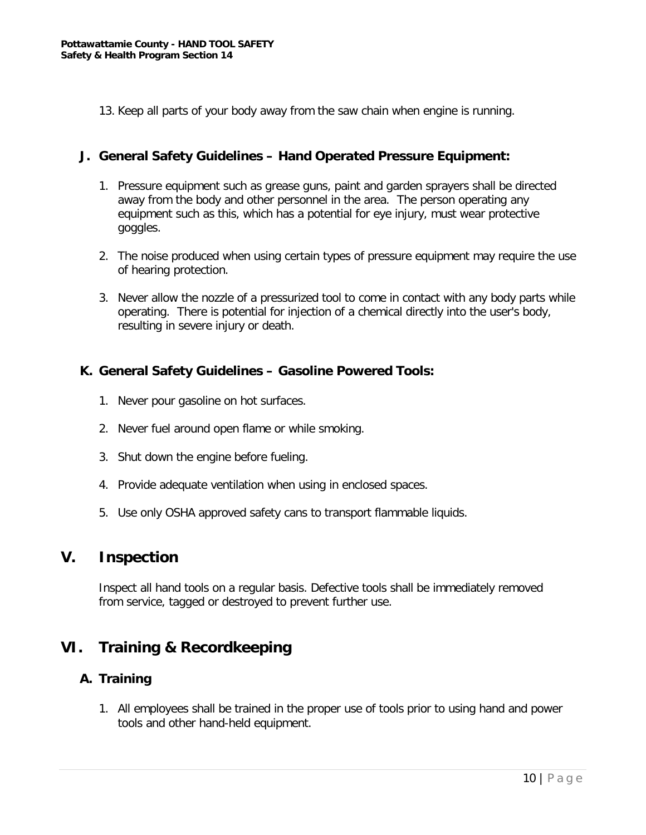13. Keep all parts of your body away from the saw chain when engine is running.

#### **J. General Safety Guidelines – Hand Operated Pressure Equipment:**

- 1. Pressure equipment such as grease guns, paint and garden sprayers shall be directed away from the body and other personnel in the area. The person operating any equipment such as this, which has a potential for eye injury, must wear protective goggles.
- 2. The noise produced when using certain types of pressure equipment may require the use of hearing protection.
- 3. Never allow the nozzle of a pressurized tool to come in contact with any body parts while operating. There is potential for injection of a chemical directly into the user's body, resulting in severe injury or death.

#### **K. General Safety Guidelines – Gasoline Powered Tools:**

- 1. Never pour gasoline on hot surfaces.
- 2. Never fuel around open flame or while smoking.
- 3. Shut down the engine before fueling.
- 4. Provide adequate ventilation when using in enclosed spaces.
- 5. Use only OSHA approved safety cans to transport flammable liquids.

### **V. Inspection**

Inspect all hand tools on a regular basis. Defective tools shall be immediately removed from service, tagged or destroyed to prevent further use.

## **VI. Training & Recordkeeping**

#### **A. Training**

1. All employees shall be trained in the proper use of tools prior to using hand and power tools and other hand-held equipment.